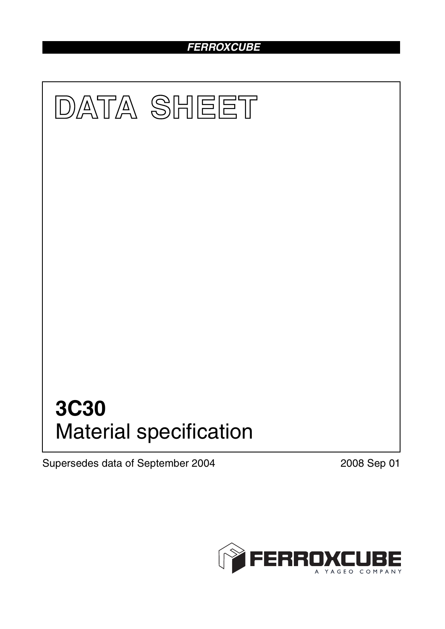# *FERROXCUBE*



Supersedes data of September 2004 2008 Sep 01

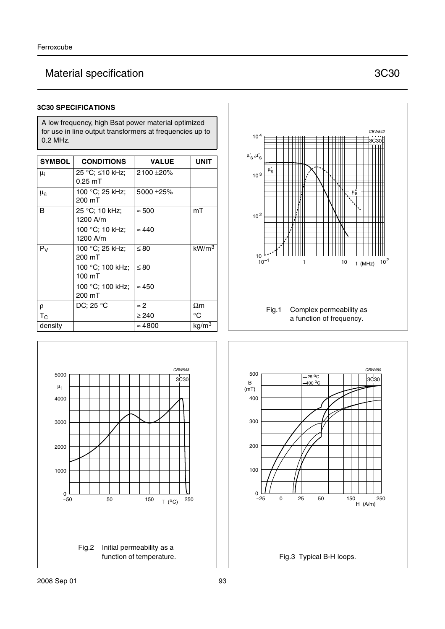# Material specification **3C30**

#### **3C30 SPECIFICATIONS**

A low frequency, high Bsat power material optimized for use in line output transformers at frequencies up to 0.2 MHz.

| <b>SYMBOL</b> | <b>CONDITIONS</b>   | <b>VALUE</b>   | <b>UNIT</b>          |
|---------------|---------------------|----------------|----------------------|
| $\mu_i$       | 25 °C; ≤10 kHz;     | 2100 ±20%      |                      |
|               | $0.25 \text{ mT}$   |                |                      |
| $\mu_{\rm a}$ | 100 °C; 25 kHz;     | 5000 ±25%      |                      |
|               | 200 mT              |                |                      |
| B             | 25 °C; 10 kHz;      | $\approx 500$  | mT                   |
|               | 1200 A/m            |                |                      |
|               | 100 °C; 10 kHz;     | $\approx 440$  |                      |
|               | 1200 A/m            |                |                      |
| $P_V$         | 100 °C; 25 kHz;     | $\leq 80$      | kW/m <sup>3</sup>    |
|               | 200 mT              |                |                      |
|               | 100 °C; 100 kHz;    | $\leq 80$      |                      |
|               | 100 mT              |                |                      |
|               | 100 °C; 100 kHz;    | $\approx 450$  |                      |
|               | 200 mT              |                |                      |
| ρ             | DC; 25 $^{\circ}$ C | $\approx$ 2    | $\Omega$ m           |
| $T_{\rm C}$   |                     | $\geq$ 240     | °C                   |
| density       |                     | $\approx 4800$ | $\rm k$ g/m $\rm ^3$ |





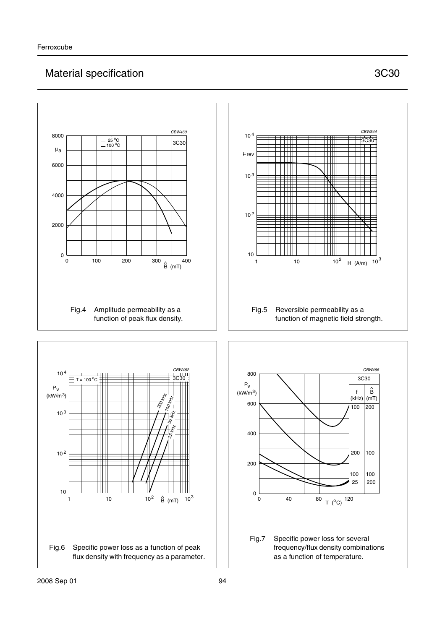# Material specification **3C30**